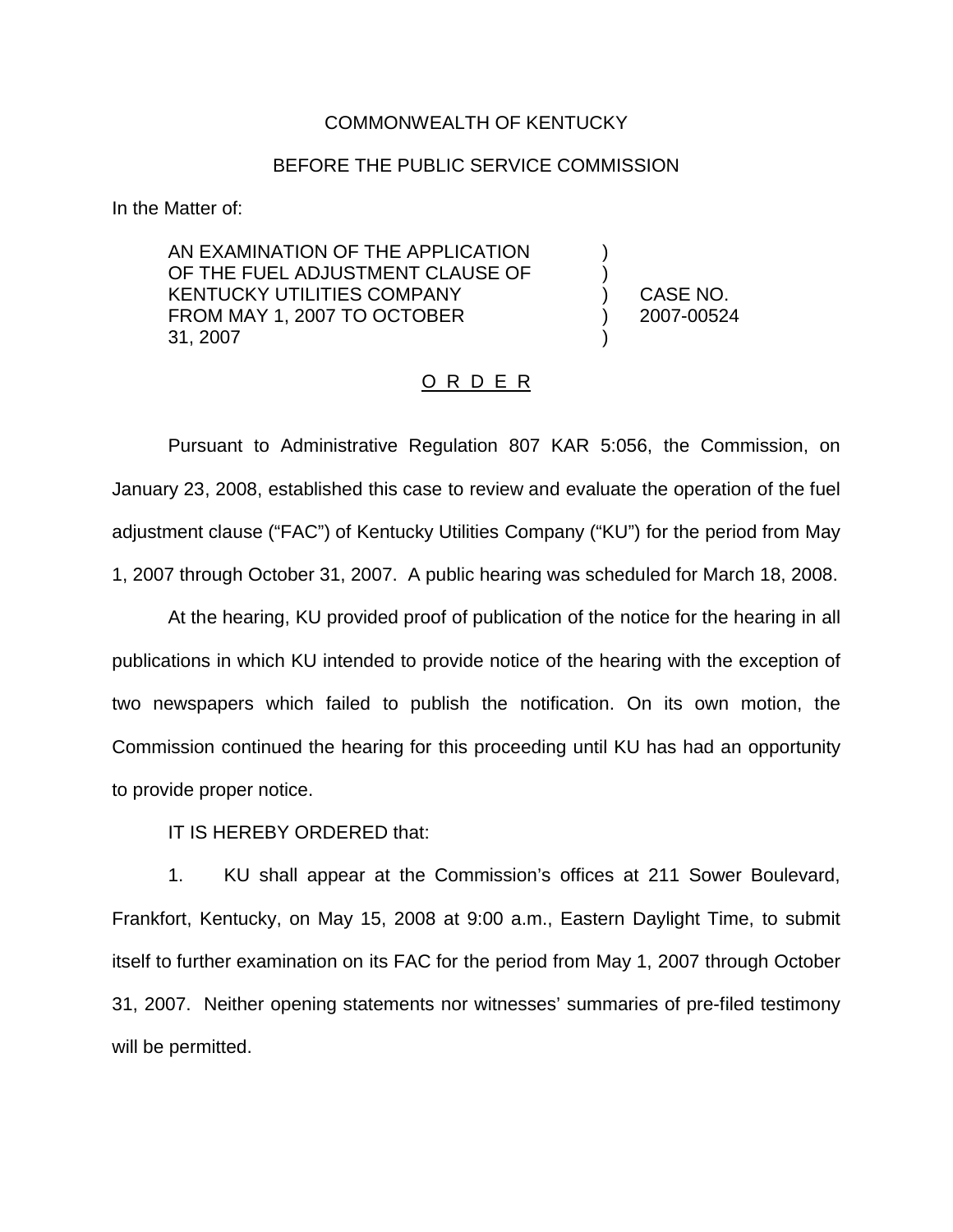## COMMONWEALTH OF KENTUCKY

## BEFORE THE PUBLIC SERVICE COMMISSION

In the Matter of:

AN EXAMINATION OF THE APPLICATION OF THE FUEL ADJUSTMENT CLAUSE OF KENTUCKY UTILITIES COMPANY FROM MAY 1, 2007 TO OCTOBER 31, 2007

) CASE NO. ) 2007-00524

) )

)

## <u>O R D E R</u>

Pursuant to Administrative Regulation 807 KAR 5:056, the Commission, on January 23, 2008, established this case to review and evaluate the operation of the fuel adjustment clause ("FAC") of Kentucky Utilities Company ("KU") for the period from May 1, 2007 through October 31, 2007. A public hearing was scheduled for March 18, 2008.

At the hearing, KU provided proof of publication of the notice for the hearing in all publications in which KU intended to provide notice of the hearing with the exception of two newspapers which failed to publish the notification. On its own motion, the Commission continued the hearing for this proceeding until KU has had an opportunity to provide proper notice.

IT IS HEREBY ORDERED that:

1. KU shall appear at the Commission's offices at 211 Sower Boulevard, Frankfort, Kentucky, on May 15, 2008 at 9:00 a.m., Eastern Daylight Time, to submit itself to further examination on its FAC for the period from May 1, 2007 through October 31, 2007. Neither opening statements nor witnesses' summaries of pre-filed testimony will be permitted.